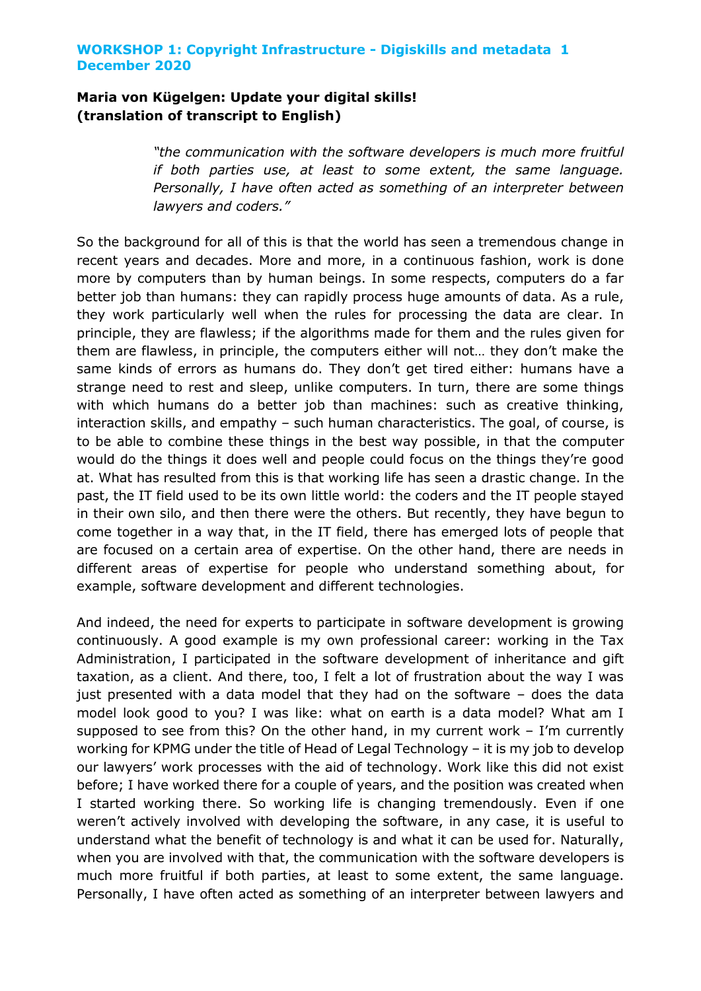# **Maria von Kügelgen: Update your digital skills! (translation of transcript to English)**

*"the communication with the software developers is much more fruitful if both parties use, at least to some extent, the same language. Personally, I have often acted as something of an interpreter between lawyers and coders."*

So the background for all of this is that the world has seen a tremendous change in recent years and decades. More and more, in a continuous fashion, work is done more by computers than by human beings. In some respects, computers do a far better job than humans: they can rapidly process huge amounts of data. As a rule, they work particularly well when the rules for processing the data are clear. In principle, they are flawless; if the algorithms made for them and the rules given for them are flawless, in principle, the computers either will not… they don't make the same kinds of errors as humans do. They don't get tired either: humans have a strange need to rest and sleep, unlike computers. In turn, there are some things with which humans do a better job than machines: such as creative thinking, interaction skills, and empathy – such human characteristics. The goal, of course, is to be able to combine these things in the best way possible, in that the computer would do the things it does well and people could focus on the things they're good at. What has resulted from this is that working life has seen a drastic change. In the past, the IT field used to be its own little world: the coders and the IT people stayed in their own silo, and then there were the others. But recently, they have begun to come together in a way that, in the IT field, there has emerged lots of people that are focused on a certain area of expertise. On the other hand, there are needs in different areas of expertise for people who understand something about, for example, software development and different technologies.

And indeed, the need for experts to participate in software development is growing continuously. A good example is my own professional career: working in the Tax Administration, I participated in the software development of inheritance and gift taxation, as a client. And there, too, I felt a lot of frustration about the way I was just presented with a data model that they had on the software – does the data model look good to you? I was like: what on earth is a data model? What am I supposed to see from this? On the other hand, in my current work – I'm currently working for KPMG under the title of Head of Legal Technology – it is my job to develop our lawyers' work processes with the aid of technology. Work like this did not exist before; I have worked there for a couple of years, and the position was created when I started working there. So working life is changing tremendously. Even if one weren't actively involved with developing the software, in any case, it is useful to understand what the benefit of technology is and what it can be used for. Naturally, when you are involved with that, the communication with the software developers is much more fruitful if both parties, at least to some extent, the same language. Personally, I have often acted as something of an interpreter between lawyers and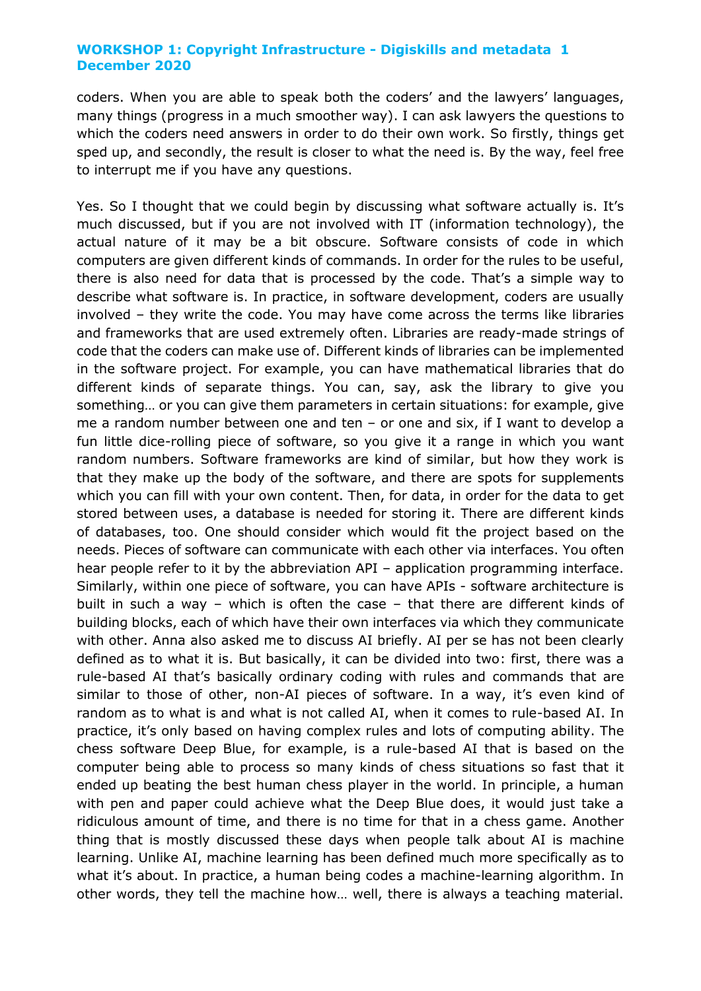coders. When you are able to speak both the coders' and the lawyers' languages, many things (progress in a much smoother way). I can ask lawyers the questions to which the coders need answers in order to do their own work. So firstly, things get sped up, and secondly, the result is closer to what the need is. By the way, feel free to interrupt me if you have any questions.

Yes. So I thought that we could begin by discussing what software actually is. It's much discussed, but if you are not involved with IT (information technology), the actual nature of it may be a bit obscure. Software consists of code in which computers are given different kinds of commands. In order for the rules to be useful, there is also need for data that is processed by the code. That's a simple way to describe what software is. In practice, in software development, coders are usually involved – they write the code. You may have come across the terms like libraries and frameworks that are used extremely often. Libraries are ready-made strings of code that the coders can make use of. Different kinds of libraries can be implemented in the software project. For example, you can have mathematical libraries that do different kinds of separate things. You can, say, ask the library to give you something… or you can give them parameters in certain situations: for example, give me a random number between one and ten – or one and six, if I want to develop a fun little dice-rolling piece of software, so you give it a range in which you want random numbers. Software frameworks are kind of similar, but how they work is that they make up the body of the software, and there are spots for supplements which you can fill with your own content. Then, for data, in order for the data to get stored between uses, a database is needed for storing it. There are different kinds of databases, too. One should consider which would fit the project based on the needs. Pieces of software can communicate with each other via interfaces. You often hear people refer to it by the abbreviation API – application programming interface. Similarly, within one piece of software, you can have APIs - software architecture is built in such a way – which is often the case – that there are different kinds of building blocks, each of which have their own interfaces via which they communicate with other. Anna also asked me to discuss AI briefly. AI per se has not been clearly defined as to what it is. But basically, it can be divided into two: first, there was a rule-based AI that's basically ordinary coding with rules and commands that are similar to those of other, non-AI pieces of software. In a way, it's even kind of random as to what is and what is not called AI, when it comes to rule-based AI. In practice, it's only based on having complex rules and lots of computing ability. The chess software Deep Blue, for example, is a rule-based AI that is based on the computer being able to process so many kinds of chess situations so fast that it ended up beating the best human chess player in the world. In principle, a human with pen and paper could achieve what the Deep Blue does, it would just take a ridiculous amount of time, and there is no time for that in a chess game. Another thing that is mostly discussed these days when people talk about AI is machine learning. Unlike AI, machine learning has been defined much more specifically as to what it's about. In practice, a human being codes a machine-learning algorithm. In other words, they tell the machine how… well, there is always a teaching material.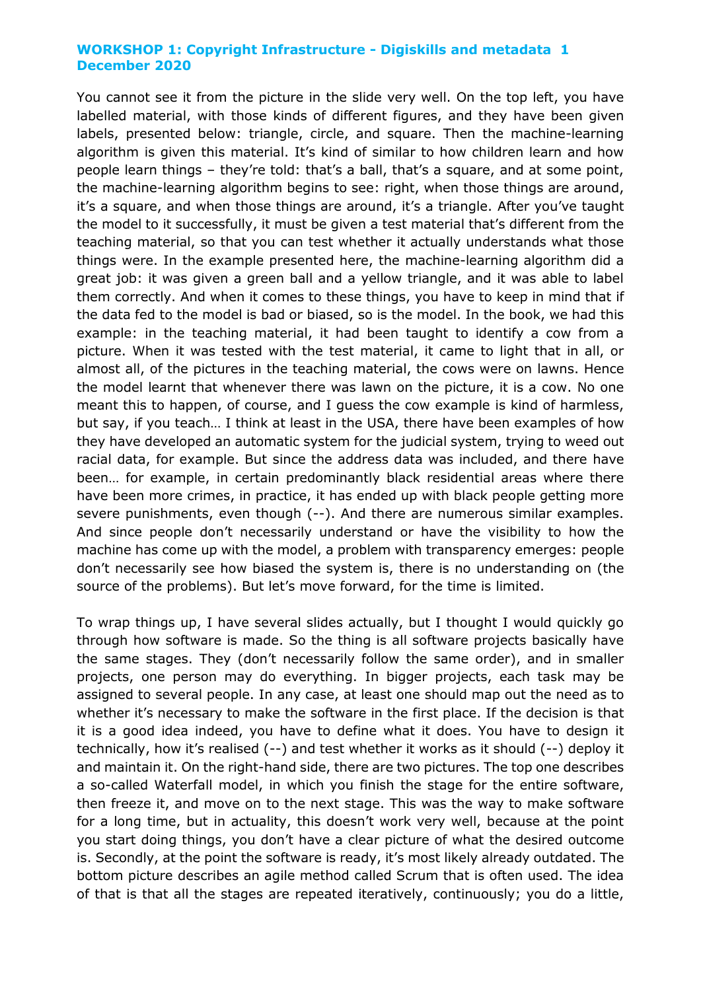You cannot see it from the picture in the slide very well. On the top left, you have labelled material, with those kinds of different figures, and they have been given labels, presented below: triangle, circle, and square. Then the machine-learning algorithm is given this material. It's kind of similar to how children learn and how people learn things – they're told: that's a ball, that's a square, and at some point, the machine-learning algorithm begins to see: right, when those things are around, it's a square, and when those things are around, it's a triangle. After you've taught the model to it successfully, it must be given a test material that's different from the teaching material, so that you can test whether it actually understands what those things were. In the example presented here, the machine-learning algorithm did a great job: it was given a green ball and a yellow triangle, and it was able to label them correctly. And when it comes to these things, you have to keep in mind that if the data fed to the model is bad or biased, so is the model. In the book, we had this example: in the teaching material, it had been taught to identify a cow from a picture. When it was tested with the test material, it came to light that in all, or almost all, of the pictures in the teaching material, the cows were on lawns. Hence the model learnt that whenever there was lawn on the picture, it is a cow. No one meant this to happen, of course, and I guess the cow example is kind of harmless, but say, if you teach… I think at least in the USA, there have been examples of how they have developed an automatic system for the judicial system, trying to weed out racial data, for example. But since the address data was included, and there have been… for example, in certain predominantly black residential areas where there have been more crimes, in practice, it has ended up with black people getting more severe punishments, even though (--). And there are numerous similar examples. And since people don't necessarily understand or have the visibility to how the machine has come up with the model, a problem with transparency emerges: people don't necessarily see how biased the system is, there is no understanding on (the source of the problems). But let's move forward, for the time is limited.

To wrap things up, I have several slides actually, but I thought I would quickly go through how software is made. So the thing is all software projects basically have the same stages. They (don't necessarily follow the same order), and in smaller projects, one person may do everything. In bigger projects, each task may be assigned to several people. In any case, at least one should map out the need as to whether it's necessary to make the software in the first place. If the decision is that it is a good idea indeed, you have to define what it does. You have to design it technically, how it's realised (--) and test whether it works as it should (--) deploy it and maintain it. On the right-hand side, there are two pictures. The top one describes a so-called Waterfall model, in which you finish the stage for the entire software, then freeze it, and move on to the next stage. This was the way to make software for a long time, but in actuality, this doesn't work very well, because at the point you start doing things, you don't have a clear picture of what the desired outcome is. Secondly, at the point the software is ready, it's most likely already outdated. The bottom picture describes an agile method called Scrum that is often used. The idea of that is that all the stages are repeated iteratively, continuously; you do a little,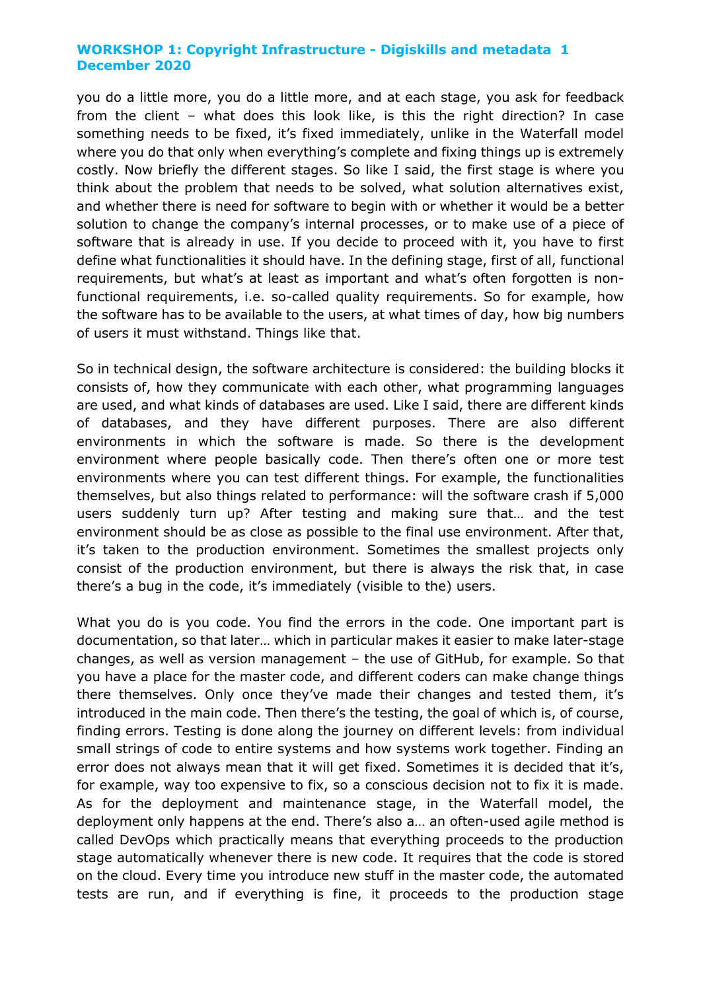you do a little more, you do a little more, and at each stage, you ask for feedback from the client – what does this look like, is this the right direction? In case something needs to be fixed, it's fixed immediately, unlike in the Waterfall model where you do that only when everything's complete and fixing things up is extremely costly. Now briefly the different stages. So like I said, the first stage is where you think about the problem that needs to be solved, what solution alternatives exist, and whether there is need for software to begin with or whether it would be a better solution to change the company's internal processes, or to make use of a piece of software that is already in use. If you decide to proceed with it, you have to first define what functionalities it should have. In the defining stage, first of all, functional requirements, but what's at least as important and what's often forgotten is nonfunctional requirements, i.e. so-called quality requirements. So for example, how the software has to be available to the users, at what times of day, how big numbers of users it must withstand. Things like that.

So in technical design, the software architecture is considered: the building blocks it consists of, how they communicate with each other, what programming languages are used, and what kinds of databases are used. Like I said, there are different kinds of databases, and they have different purposes. There are also different environments in which the software is made. So there is the development environment where people basically code. Then there's often one or more test environments where you can test different things. For example, the functionalities themselves, but also things related to performance: will the software crash if 5,000 users suddenly turn up? After testing and making sure that… and the test environment should be as close as possible to the final use environment. After that, it's taken to the production environment. Sometimes the smallest projects only consist of the production environment, but there is always the risk that, in case there's a bug in the code, it's immediately (visible to the) users.

What you do is you code. You find the errors in the code. One important part is documentation, so that later… which in particular makes it easier to make later-stage changes, as well as version management – the use of GitHub, for example. So that you have a place for the master code, and different coders can make change things there themselves. Only once they've made their changes and tested them, it's introduced in the main code. Then there's the testing, the goal of which is, of course, finding errors. Testing is done along the journey on different levels: from individual small strings of code to entire systems and how systems work together. Finding an error does not always mean that it will get fixed. Sometimes it is decided that it's, for example, way too expensive to fix, so a conscious decision not to fix it is made. As for the deployment and maintenance stage, in the Waterfall model, the deployment only happens at the end. There's also a… an often-used agile method is called DevOps which practically means that everything proceeds to the production stage automatically whenever there is new code. It requires that the code is stored on the cloud. Every time you introduce new stuff in the master code, the automated tests are run, and if everything is fine, it proceeds to the production stage